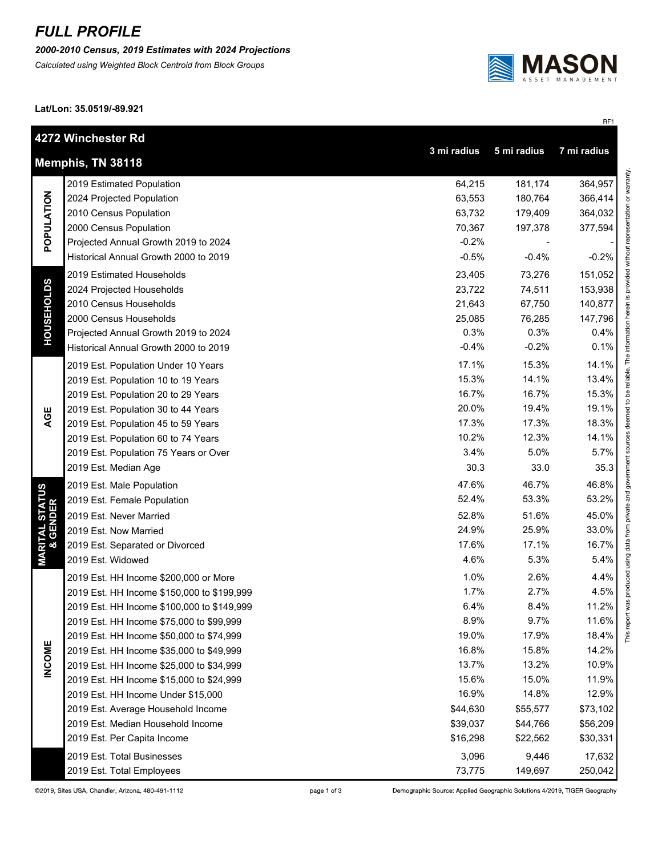## *FULL PROFILE*

*2000-2010 Census, 2019 Estimates with 2024 Projections*

*Calculated using Weighted Block Centroid from Block Groups*



RF1

This report was produced using data from private and government sources deemed to be reliable. The information herein is provided without representation or warranty.

**Lat/Lon: 35.0519/-89.921**

|                                        | 4272 Winchester Rd<br>7 mi radius<br>3 mi radius<br>5 mi radius |          |          |          |  |  |  |
|----------------------------------------|-----------------------------------------------------------------|----------|----------|----------|--|--|--|
|                                        | Memphis, TN 38118                                               |          |          |          |  |  |  |
| POPULATION                             | 2019 Estimated Population                                       | 64,215   | 181,174  | 364,957  |  |  |  |
|                                        | 2024 Projected Population                                       | 63,553   | 180,764  | 366,414  |  |  |  |
|                                        | 2010 Census Population                                          | 63,732   | 179,409  | 364,032  |  |  |  |
|                                        | 2000 Census Population                                          | 70,367   | 197,378  | 377,594  |  |  |  |
|                                        | Projected Annual Growth 2019 to 2024                            | $-0.2%$  |          |          |  |  |  |
|                                        | Historical Annual Growth 2000 to 2019                           | $-0.5%$  | $-0.4%$  | $-0.2%$  |  |  |  |
|                                        | 2019 Estimated Households                                       | 23,405   | 73,276   | 151,052  |  |  |  |
|                                        | 2024 Projected Households                                       | 23,722   | 74,511   | 153,938  |  |  |  |
|                                        | 2010 Census Households                                          | 21,643   | 67,750   | 140,877  |  |  |  |
| <b>HOUSEHOLDS</b>                      | 2000 Census Households                                          | 25,085   | 76,285   | 147,796  |  |  |  |
|                                        | Projected Annual Growth 2019 to 2024                            | 0.3%     | 0.3%     | 0.4%     |  |  |  |
|                                        | Historical Annual Growth 2000 to 2019                           | $-0.4%$  | $-0.2%$  | 0.1%     |  |  |  |
|                                        | 2019 Est. Population Under 10 Years                             | 17.1%    | 15.3%    | 14.1%    |  |  |  |
|                                        | 2019 Est. Population 10 to 19 Years                             | 15.3%    | 14.1%    | 13.4%    |  |  |  |
|                                        | 2019 Est. Population 20 to 29 Years                             | 16.7%    | 16.7%    | 15.3%    |  |  |  |
|                                        | 2019 Est. Population 30 to 44 Years                             | 20.0%    | 19.4%    | 19.1%    |  |  |  |
| AGE                                    | 2019 Est. Population 45 to 59 Years                             | 17.3%    | 17.3%    | 18.3%    |  |  |  |
|                                        | 2019 Est. Population 60 to 74 Years                             | 10.2%    | 12.3%    | 14.1%    |  |  |  |
|                                        | 2019 Est. Population 75 Years or Over                           | 3.4%     | 5.0%     | 5.7%     |  |  |  |
|                                        | 2019 Est. Median Age                                            | 30.3     | 33.0     | 35.3     |  |  |  |
|                                        | 2019 Est. Male Population                                       | 47.6%    | 46.7%    | 46.8%    |  |  |  |
|                                        | 2019 Est. Female Population                                     | 52.4%    | 53.3%    | 53.2%    |  |  |  |
|                                        | 2019 Est. Never Married                                         | 52.8%    | 51.6%    | 45.0%    |  |  |  |
|                                        | 2019 Est. Now Married                                           | 24.9%    | 25.9%    | 33.0%    |  |  |  |
|                                        | 2019 Est. Separated or Divorced                                 | 17.6%    | 17.1%    | 16.7%    |  |  |  |
| <b>MARITAL STATUS<br/>&amp; GENDER</b> | 2019 Est. Widowed                                               | 4.6%     | 5.3%     | 5.4%     |  |  |  |
|                                        | 2019 Est. HH Income \$200,000 or More                           | 1.0%     | 2.6%     | 4.4%     |  |  |  |
|                                        | 2019 Est. HH Income \$150,000 to \$199,999                      | 1.7%     | 2.7%     | 4.5%     |  |  |  |
|                                        | 2019 Est. HH Income \$100,000 to \$149,999                      | 6.4%     | 8.4%     | 11.2%    |  |  |  |
|                                        | 2019 Est. HH Income \$75,000 to \$99,999                        | 8.9%     | 9.7%     | 11.6%    |  |  |  |
|                                        | 2019 Est. HH Income \$50,000 to \$74,999                        | 19.0%    | 17.9%    | 18.4%    |  |  |  |
| <b>INCOME</b>                          | 2019 Est. HH Income \$35,000 to \$49,999                        | 16.8%    | 15.8%    | 14.2%    |  |  |  |
|                                        | 2019 Est. HH Income \$25,000 to \$34,999                        | 13.7%    | 13.2%    | 10.9%    |  |  |  |
|                                        | 2019 Est. HH Income \$15,000 to \$24,999                        | 15.6%    | 15.0%    | 11.9%    |  |  |  |
|                                        | 2019 Est. HH Income Under \$15,000                              | 16.9%    | 14.8%    | 12.9%    |  |  |  |
|                                        | 2019 Est. Average Household Income                              | \$44,630 | \$55,577 | \$73,102 |  |  |  |
|                                        | 2019 Est. Median Household Income                               | \$39,037 | \$44,766 | \$56,209 |  |  |  |
|                                        | 2019 Est. Per Capita Income                                     | \$16,298 | \$22,562 | \$30,331 |  |  |  |
|                                        | 2019 Est. Total Businesses                                      | 3,096    | 9,446    | 17,632   |  |  |  |
|                                        | 2019 Est. Total Employees                                       | 73,775   | 149,697  | 250,042  |  |  |  |

page 1 of 3

Demographic Source: Applied Geographic Solutions 4/2019, TIGER Geography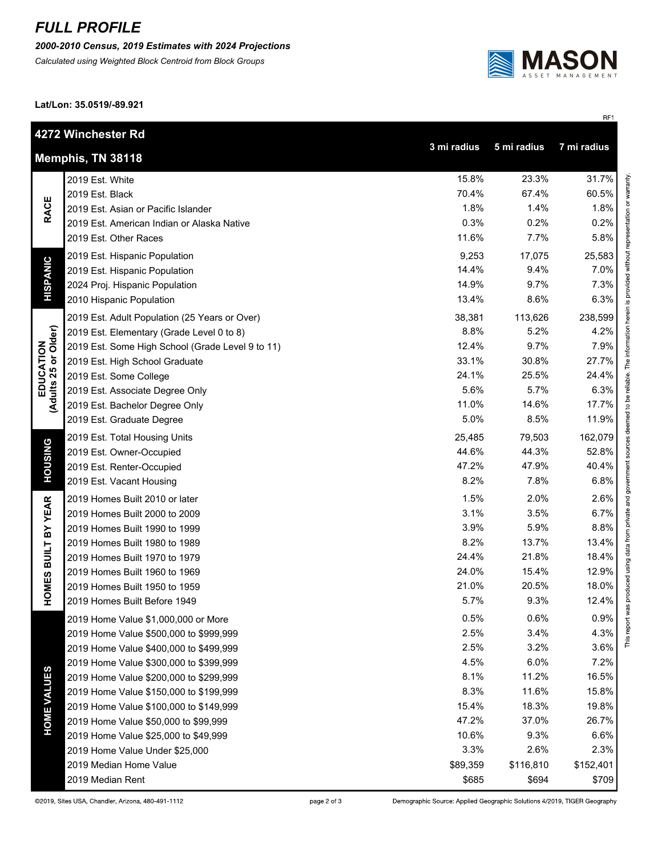## *FULL PROFILE*

*2000-2010 Census, 2019 Estimates with 2024 Projections*

*Calculated using Weighted Block Centroid from Block Groups*



RF1

**Lat/Lon: 35.0519/-89.921**

|                                                                | 4272 Winchester Rd                               |          |           |           |  |  |
|----------------------------------------------------------------|--------------------------------------------------|----------|-----------|-----------|--|--|
| 7 mi radius<br>3 mi radius<br>5 mi radius<br>Memphis, TN 38118 |                                                  |          |           |           |  |  |
|                                                                | 2019 Est. White                                  | 15.8%    | 23.3%     | 31.7%     |  |  |
| <b>RACE</b>                                                    | 2019 Est. Black                                  | 70.4%    | 67.4%     | 60.5%     |  |  |
|                                                                | 2019 Est. Asian or Pacific Islander              | 1.8%     | 1.4%      | 1.8%      |  |  |
|                                                                | 2019 Est. American Indian or Alaska Native       | 0.3%     | 0.2%      | 0.2%      |  |  |
|                                                                | 2019 Est. Other Races                            | 11.6%    | 7.7%      | 5.8%      |  |  |
|                                                                | 2019 Est. Hispanic Population                    | 9,253    | 17,075    | 25,583    |  |  |
| <b>HISPANIC</b>                                                | 2019 Est. Hispanic Population                    | 14.4%    | 9.4%      | 7.0%      |  |  |
|                                                                | 2024 Proj. Hispanic Population                   | 14.9%    | 9.7%      | 7.3%      |  |  |
|                                                                | 2010 Hispanic Population                         | 13.4%    | 8.6%      | 6.3%      |  |  |
|                                                                | 2019 Est. Adult Population (25 Years or Over)    | 38,381   | 113,626   | 238,599   |  |  |
|                                                                | 2019 Est. Elementary (Grade Level 0 to 8)        | 8.8%     | 5.2%      | 4.2%      |  |  |
|                                                                | 2019 Est. Some High School (Grade Level 9 to 11) | 12.4%    | 9.7%      | 7.9%      |  |  |
| EDUCATION<br>(Adults 25 or Older)                              | 2019 Est. High School Graduate                   | 33.1%    | 30.8%     | 27.7%     |  |  |
|                                                                | 2019 Est. Some College                           | 24.1%    | 25.5%     | 24.4%     |  |  |
|                                                                | 2019 Est. Associate Degree Only                  | 5.6%     | 5.7%      | 6.3%      |  |  |
|                                                                | 2019 Est. Bachelor Degree Only                   | 11.0%    | 14.6%     | 17.7%     |  |  |
|                                                                | 2019 Est. Graduate Degree                        | 5.0%     | 8.5%      | 11.9%     |  |  |
|                                                                | 2019 Est. Total Housing Units                    | 25,485   | 79,503    | 162,079   |  |  |
|                                                                | 2019 Est. Owner-Occupied                         | 44.6%    | 44.3%     | 52.8%     |  |  |
| <b>HOUSING</b>                                                 | 2019 Est. Renter-Occupied                        | 47.2%    | 47.9%     | 40.4%     |  |  |
|                                                                | 2019 Est. Vacant Housing                         | 8.2%     | 7.8%      | 6.8%      |  |  |
|                                                                | 2019 Homes Built 2010 or later                   | 1.5%     | 2.0%      | 2.6%      |  |  |
| <b>BUILT BY YEAR</b>                                           | 2019 Homes Built 2000 to 2009                    | 3.1%     | 3.5%      | 6.7%      |  |  |
|                                                                | 2019 Homes Built 1990 to 1999                    | 3.9%     | 5.9%      | 8.8%      |  |  |
|                                                                | 2019 Homes Built 1980 to 1989                    | 8.2%     | 13.7%     | 13.4%     |  |  |
|                                                                | 2019 Homes Built 1970 to 1979                    | 24.4%    | 21.8%     | 18.4%     |  |  |
|                                                                | 2019 Homes Built 1960 to 1969                    | 24.0%    | 15.4%     | 12.9%     |  |  |
| HOMES                                                          | 2019 Homes Built 1950 to 1959                    | 21.0%    | 20.5%     | 18.0%     |  |  |
|                                                                | 2019 Homes Built Before 1949                     | 5.7%     | 9.3%      | 12.4%     |  |  |
|                                                                | 2019 Home Value \$1,000,000 or More              | 0.5%     | 0.6%      | 0.9%      |  |  |
|                                                                | 2019 Home Value \$500,000 to \$999,999           | 2.5%     | 3.4%      | 4.3%      |  |  |
| <b>HOME VALUES</b>                                             | 2019 Home Value \$400,000 to \$499,999           | 2.5%     | 3.2%      | 3.6%      |  |  |
|                                                                | 2019 Home Value \$300,000 to \$399,999           | 4.5%     | 6.0%      | 7.2%      |  |  |
|                                                                | 2019 Home Value \$200,000 to \$299,999           | 8.1%     | 11.2%     | 16.5%     |  |  |
|                                                                | 2019 Home Value \$150,000 to \$199,999           | 8.3%     | 11.6%     | 15.8%     |  |  |
|                                                                | 2019 Home Value \$100,000 to \$149,999           | 15.4%    | 18.3%     | 19.8%     |  |  |
|                                                                | 2019 Home Value \$50,000 to \$99,999             | 47.2%    | 37.0%     | 26.7%     |  |  |
|                                                                | 2019 Home Value \$25,000 to \$49,999             | 10.6%    | 9.3%      | 6.6%      |  |  |
|                                                                | 2019 Home Value Under \$25,000                   | 3.3%     | 2.6%      | 2.3%      |  |  |
|                                                                | 2019 Median Home Value                           | \$89,359 | \$116,810 | \$152,401 |  |  |
|                                                                | 2019 Median Rent                                 | \$685    | \$694     | \$709     |  |  |

Demographic Source: Applied Geographic Solutions 4/2019, TIGER Geography